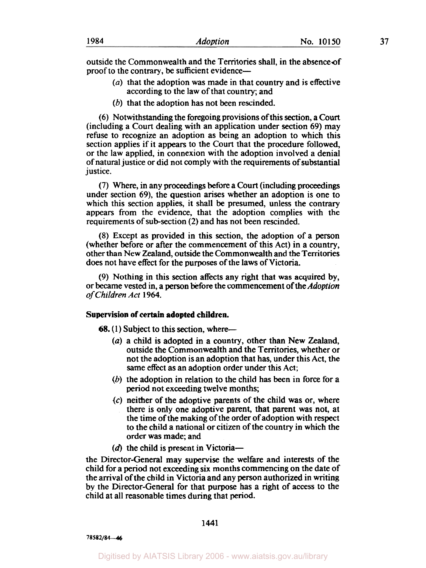outside the Commonwealth and the Territories shall, in the absence of proof to the contrary, be sufficient evidence—

- *(a)* that the adoption was made in that country and is effective according to the law of that country; and
- (b) that the adoption has not been rescinded.

**(6)** Notwithstanding the foregoing provisions of this section, a Court (including a Court dealing with an application under section **69)** may refuse to recognize an adoption as being an adoption to which this section applies if it appears to the Court that the procedure followed, or the law applied, in connexion with the adoption involved a denial of natural justice or did not comply with the requirements of substantial justice.

(7) Where, in any proceedings before a Court (including proceedings under section **69),** the question arises whether an adoption is one to which this section applies, it shall be presumed, unless the contrary appears from the evidence, that the adoption complies with the requirements of sub-section (2) and has not been rescinded.

**(8)** Except as provided in this section, the adoption of a person (whether before or after the commencement of this Act) in a country, other than New Zealand, outside the Commonwealth and the Territories does not have effect for the purposes of the laws of Victoria.

**(9)** Nothing in this section affects any right that was acquired by, or became vested in, a person before the commencement of the *Adoption of Children Act* **1964.** 

#### **Supervision of certain adopted children.**

**68.** (1) Subject to this section, where-

- *(a)* a child is adopted in a country, other than New Zealand, outside the Commonwealth and the Territories, whether or not the adoption is an adoption that has, under this Act, the same effect as an adoption order under this Act;
- (b) the adoption in relation to the child has been in force for a period not exceeding twelve months;
- *(c)* neither of the adoptive parents of the child was or, where there is only one adoptive parent, that parent was not, at the time of the making of the order of adoption with respect to the child a national or citizen of the country in which the order was made; and
- $(d)$  the child is present in Victoria-

the Director-General may supervise the welfare and interests of the child for a period not exceeding six months commencing on the date of the arrival of the child in Victoria and any person authorized in writing by the Director-General for that purpose has a right of access to the child at all reasonable times during that period.

**1441** 

*78582/84-46*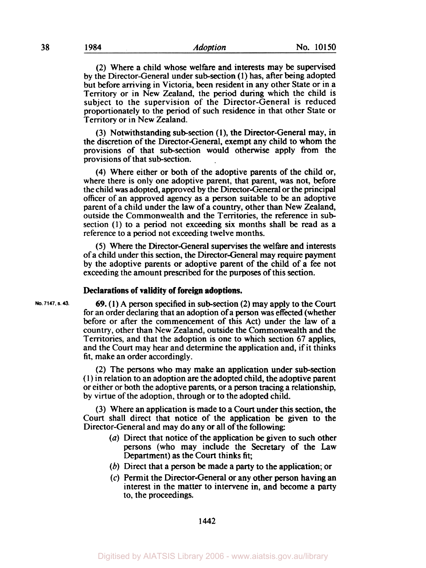**(2)** Where a child whose welfare and interests may be supervised by the Director-General under subsection **(1)** has, after being adopted but before arriving in Victoria, been resident in any other State or in a Territory or in New Zealand, the period during which the child is subject to the supervision of the Director-General is reduced proportionately to the period of such residence in that other State or Territory or in New Zealand.

(3) Notwithstanding subsection **(l),** the Director-General may, in the discretion of the Director-General, exempt any child to whom the provisions of that sub-section would otherwise apply from the provisions of that sub-section.

**(4)** Where either or both of the adoptive parents of the child or, where there is only one adoptive parent, that parent, was not, before the child was adopted, approved by the Director-General or the principal officer of an approved agency as a person suitable to be an adoptive parent of a child under the law of a country, other than New Zealand, outside the Commonwealth and the Territories, the reference in sub section **(1)** to a period not exceeding six months shall be read as a reference to a period not exceeding twelve months.

*(5)* Where the Director-General supervises the welfare and interests **of** a child under this section, the Director-General may require payment by the adoptive parents or adoptive parent of the child of a fee not exceeding the amount prescribed for the purposes of this section.

#### **Declarations of validity of foreign adoptions.**

**No. 7147. S. 43.** *69.* **(1)** A person specified in subsection **(2)** may apply to the Court for an order declaring that an adoption of a person was effected (whether before or after the commencement of this Act) under the law of a country, other than New Zealand, outside the Commonwealth and the Territories, and that the adoption is one to which section 67 applies, and the Court may hear and determine the application and, if it thinks fit, make an order accordingly.

> **(2)** The persons who may make an application under subsection ( **1)** in relation to an adoption are the adopted child, the adoptive parent or either or both the adoptive parents, or a person tracing a relationship, by virtue of the adoption, through or to the adopted child.

> (3) Where an application is made to a Court under this section, the Court shall direct that notice of the application be given to the Director-General and may do any or all of the following

- *(a)* Direct that notice of the application be given to such other persons (who may include the Secretary of the Law Department) as the Court thinks fit;
- *(b)* Direct that a person be made a party to the application; or
- **(c)** Permit the Director-General or any other person having an interest in the matter to intervene in, and become a party to, the proceedings.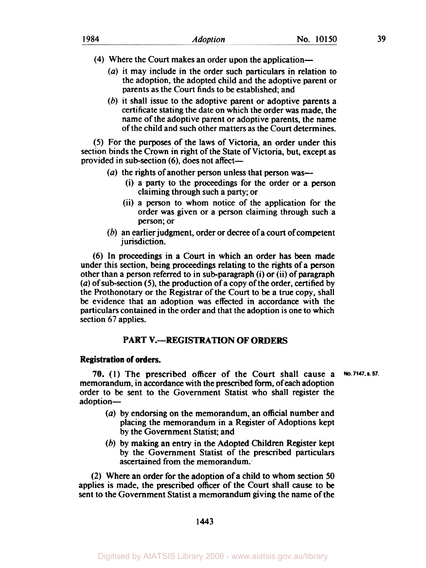- **(4)** Where the Court makes an order upon the application-
	- (a) it may include in the order such particulars in relation to the adoption, the adopted child and the adoptive parent or parents as the Court finds to be established; and
	- (6) it shall issue to the adoptive parent or adoptive parents a certificate stating the date on which the order was made, the name of the adoptive parent or adoptive parents, the name of the child and such other matters as the Court determines.

*(5)* For the purposes of the laws of Victoria, an order under this section binds the Crown in right of the State of Victoria, but, except as provided in sub-section (6), does not affect-

- ( $a$ ) the rights of another person unless that person was--
	- (i) a party to the proceedings for the order or a person claiming through such a party; or
	- (ii) a person to whom notice of the application for the order was given or a person claiming through such a person; or
- (b) an earlier judgment, order or decree of a court of competent jurisdiction.

(6) In proceedings in a Court in which an order has been made under this section, being proceedings relating to the rights of a person other than a person referred to in sub-paragraph (i) or (ii) of paragraph *(a)* of subsection **(5),** the production of a copy of the order, certified by the Prothonotary or the Registrar of the Court to be **a** true copy, shall be evidence that an adoption was effected in accordance with the particulars contained in the order and that the adoption is one to which section 67 applies.

## **PART V.--REGISTRATION OF ORDERS**

### **Registration of orders.**

**70. (1)** The prescribed officer of the Court shall cause a memorandum, in accordance with the prescribed form, of each adoption order to be sent to the Government Statist who shall register the adoption-**No. 7147. s. 57.** 

- *(a)* by endorsing on the memorandum, an official number and placing the memorandum in **a** Register of Adoptions kept by the Government Statist; and
- (b) by making an entry in the Adopted Children Register kept by the Government Statist of the prescribed particulars ascertained from the memorandum.

(2) Where an order for the adoption of a child to whom section **50**  applies is made, the prescribed officer of the Court shall cause to be sent to the Government Statist a memorandum giving the name of the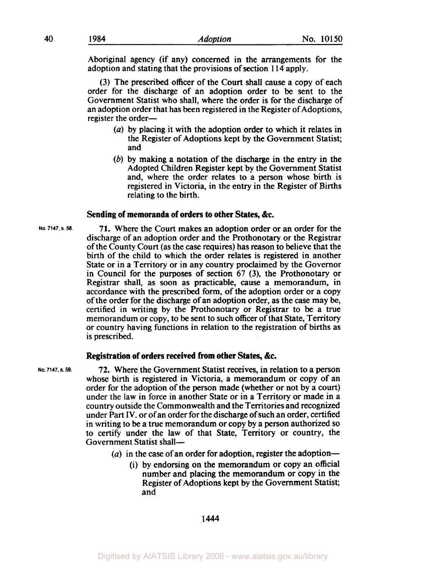Aboriginal agency (if any) concerned in the arrangements for the adoption and stating that the provisions of section 1 14 apply.

(3) The prescribed officer of the Court shall cause a copy of each order for the discharge of an adoption order to be sent to the Government Statist who shall, where the order is for the discharge of an adoption order that has been registered in the Register of Adoptions, register the order-

- *(a)* by placing it with the adoption order to which it relates in the Register of Adoptions kept by the Government Statist; and
- (b) by making a notation of the discharge in the entry in the Adopted Children Register kept by the Government Statist and, where the order relates to a person whose birth is registered in Victoria, in the entry in the Register of Births relating to the birth.

#### **Sending of memoranda of orders to other States, &c.**

71. Where the Court makes an adoption order or an order for the discharge of an adoption order and the Prothonotary or the Registrar of the County Court (as the case requires) has reason to believe that the birth of the child to which the order relates is registered in another State or in a Territory or in any country proclaimed by the Governor in Council for the purposes of section 67 **(3),** the Prothonotary or Registrar shall, as soon as practicable, cause a memorandum, in accordance with the prescribed form, of the adoption order or a copy of the order for the discharge of an adoption order, as the case may be, certified in writing by the Prothonotary or Registrar to be a true memorandum or copy, to be sent to such officer of that State, Territory or country having functions in relation to the registration of births as is prescribed.

#### **Registration of orders received from other States, &c.**

**72.** Where the Government Statist receives, in relation to a person whose birth is registered in Victoria, a memorandum or copy of an order for the adoption of the person made (whether or not by a court) under the law in force in another State or in a Territory or made in a country outside the Commonwealth and the Territories and recognized under Part IV. or of an order for the discharge of such an order, certified in writing to be a true memorandum or copy by a person authorized so to certify under the law of that State, Territory or country, the Government Statist shall-

- (a) in the case of an order for adoption, register the adoption-
	- (i) by endorsing on the memorandum or copy an official number and placing the memorandum or copy in the Register of Adoptions kept by the Government Statist; and

#### 1444

**No. 7147. S. 58.** 

**No. 7147. S. 59.**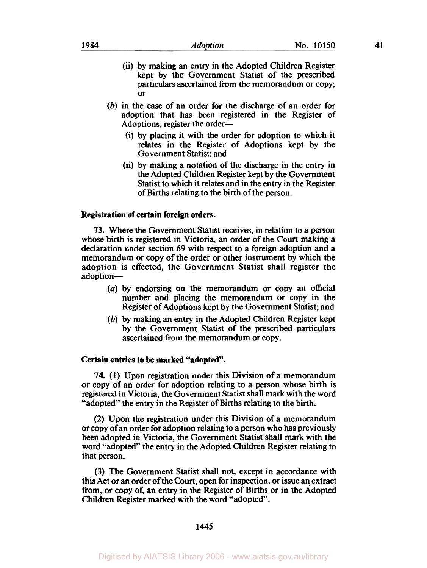- (ii) by making an entry in the Adopted Children Register kept by the Government Statist of the prescribed particulars ascertained from the memorandum or copy; or
- (b) in the case of an order for the discharge of an order for adoption that has been registered in the Register of Adoptions, register the order-
	- (i) by placing it with the order for adoption to which it relates in the Register of Adoptions kept by the Government Statist; and
	- (ii) by making a notation of the discharge in the entry in the Adopted Children Register kept by the Government Statist to which it relates and in the entry in the Register of Births relating to the birth of the person.

### **Registration of certain foreign orders.**

**73.** Where the Government Statist receives, in relation to a person whose birth is registered in Victoria, an order of the Court making a declaration under section 69 with respect to a foreign adoption and a memorandum or copy of the order or other instrument by which the adoption is effected, the Government Statist shall register the adoption-

- *(a)* by endorsing on the memorandum or copy an official number and placing the memorandum or copy in the Register of Adoptions kept by the Government Statist; and
- (b) by making an entry in the Adopted Children Register kept by the Government Statist of the prescribed particulars ascertained from the memorandum or copy.

## **Certain entries to be marked "adopted".**

**74. (1)** Upon registration under this Division of a memorandum or copy of an order for adoption relating to a person whose birth is registered in Victoria, the Government Statist shall mark with the word "adopted" the entry in the Register of Births relating to the birth.

(2) Upon the registration under this Division of a memorandum or copy of an order for adoption relating to a person who has previously been adopted in Victoria, the Government Statist shall mark with the word "adopted" the entry in the Adopted Children Register relating to that person.

(3) The Government Statist shall not, except in accordance with this Act or an order of the Court, open for inspection, or issue an extract from, or copy of, an entry in the Register of Births or in the Adopted Children Register marked with the word "adopted".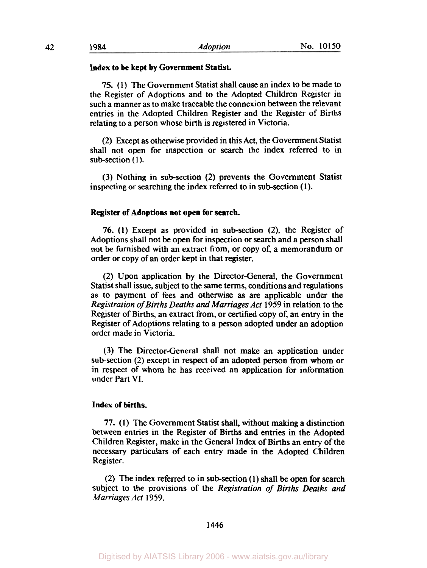#### **Index to be kept by Government Statist.**

**75. (1)** The Government Statist shall cause an index to be made to the Register of Adoptions and to the Adopted Children Register in such a manner as to make traceable the connexion between the relevant entries in the Adopted Children Register and the Register of Births relating to a person whose birth is registered in Victoria.

(2) Except as otherwise provided in this Act, the Government Statist shall not open for inspection or search the index referred to in sub-section  $(1)$ .

(3) Nothing in subsection (2) prevents the Government Statist inspecting or searching the index referred to in sub-section (1).

#### **Register of Adoptions not open for search.**

**76.** (1) Except as provided in subsection **(2),** the Register of Adoptions shall not **be** open for inspection or search and a person shall not be furnished with an extract from, or copy **of,** a memorandum or order or copy of an order kept in that register.

(2) Upon application by the Director-General, the Government Statist shall issue, subject to the same terms, conditions and regulations as to payment of fees and otherwise **as** are applicable under the *Registration* of *Births Deaths and Marriages Act* 1959 in relation to the Register of Births, an extract from, or certified copy of, an entry in the Register of Adoptions relating to a person adopted under an adoption order made in Victoria.

(3) The Director-General shall not make an application under sub-section (2) except in respect of an adopted person from whom or in respect of whom he has received an application for information under Part VI.

## **Index of births.**

**77.** (1) The Government Statist shall, without making a distinction between entries in the Register of Births and entries in the Adopted Children Register, make in the General Index of Births an entry of the necessary particulars of each entry made in the Adopted Children Register.

(2) The index referred to in subsection **(1)** shall be open for search subject to the provisions of the *Registration of Births Deaths and Marriages Act* 1959.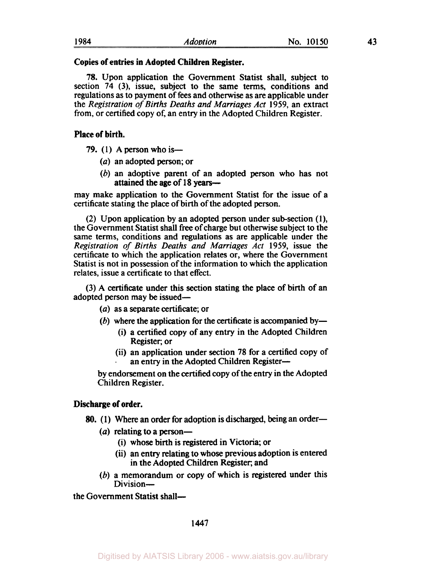## **Copies of entries in Adopted Children Register.**

**78.** Upon application the Government Statist shall, subject to section **74 (3),** issue, subject to the same terms, conditions and regulations as to payment of fees and otherwise as are applicable under the *Registration of Births Deaths and Marriages Act* **1959,** an extract from, or certified copy of, an entry in the Adopted Children Register.

## **Place of birth.**

- *79.* **(1)** A person who is-
	- *(a)* an adopted person; or
	- (b) an adoptive parent of an adopted person who has not attained the age of **18** years-

may make application to the Government Statist for the issue of a certificate stating the place of birth of the adopted person.

(2) Upon application by an adopted **person** under subsection **(I),**  the Government Statist shall free of charge but otherwise subject to the same terms, conditions and regulations as are applicable under the *Registration of Births Deaths and Marriages Act* **1959,** issue the certificate to which the application relates or, where the Government Statist is not in possession of the information to which the application relates, issue a certificate to that effect.

(3) A certificate under this section stating the place of birth of an adopted person may be issued-

- *(a)* as a separate certificate; or
- (b) where the application for the certificate is accompanied by-
	- (i) a certified copy of any entry in the Adopted Children Register; or
	- (ii) an application under section **78** for a certified copy of an entry in the Adopted Children Register-

**by** endorsement on the certified copy of the entry in the Adopted Children Register.

## **Discharge of order.**

- *80.* **(1)** Where **an** order for adoption is discharged, being an order-
	- (*a*) relating to a person-
		- (i) whose birth is registered in Victoria; or
		- (ii) an entry relating to whose previous adoption is entered in the Adopted Children Register, and
	- (b) a memorandum or copy of which is registered under this Division-

the Government Statist shall-

**1447**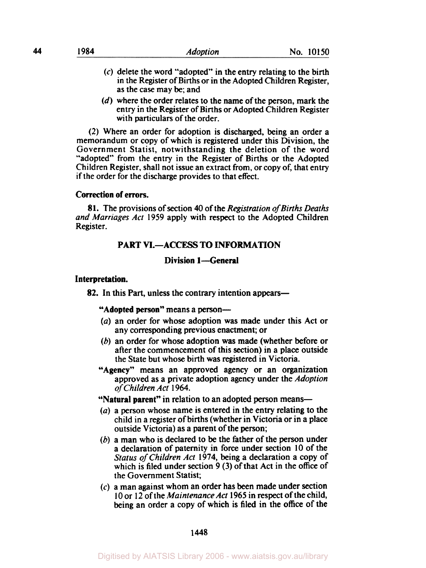- (c) delete the word "adopted" in the entry relating to the birth in the Register of Births or in the Adopted Children Register, as the case may be; and
- *(d)* where the order relates to the name of the person, mark the entry in the Register of Births or Adopted Children Register with particulars of the order.

(2) Where an order for adoption is discharged, being an order a memorandum or copy of which is registered under this Division, the Government Statist, notwithstanding the deletion of the word "adopted" from the entry in the Register of Births or the Adopted Children Register, shall not issue an extract from, or copy **of,** that entry if the order for the discharge provides to that effect.

# **Correction of errors.**

**81.** The provisions of section **40** of the *Registration* of *Births Deaths and Marriages Act* **1959** apply with respect to the Adopted Children Register.

# **PART VI.-ACCESS TO INFORMATION**

# **Division l-General**

### **Interpretation.**

**82.** In this Part, unless the contrary intention appears—

**"Adopted person"** means a person-

- *(a)* an order for whose adoption was made under this Act or any corresponding previous enactment; or
- (b) an order for whose adoption was made (whether before or after the commencement of this section) in a place outside the State but whose birth was registered in Victoria.
- **"Agency"** means an approved agency or an organization approved as a private adoption agency under the *Adoption of Children Act* **1964.**

**"Natural parent"** in relation to an adopted person means-

- *(a)* a person whose name is entered in the entry relating to the child in a register of births (whether in Victoria or in a place outside Victoria) as a parent of the person;
- (b) a man who is declared to be the father of the person under a declaration of paternity in force under section **10** of the *Status* of *Children Act* **1974,** being a declaration a copy of which is filed under section **9** (3) of that Act in the office of the Government Statist;
- $(c)$  a man against whom an order has been made under section **I0** or 12 of the *Maintenance Act* **1965** in respect of the child, being an order a copy of which is filed in the office of the